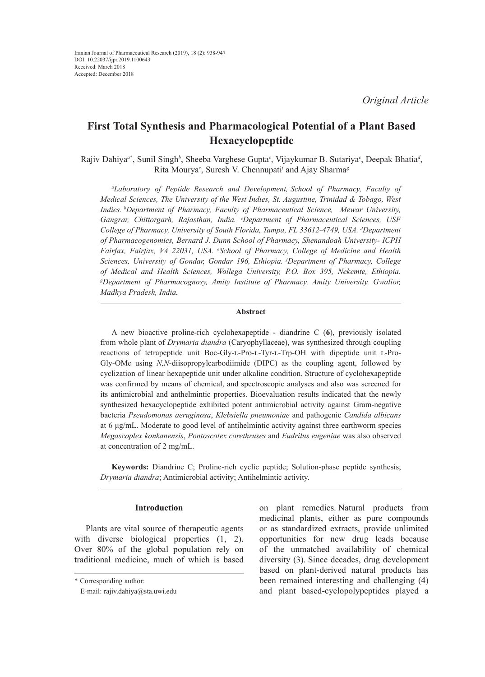# **First Total Synthesis and Pharmacological Potential of a Plant Based Hexacyclopeptide**

Rajiv Dahiya*<sup>a</sup>*\* , Sunil Singh*<sup>b</sup>* , Sheeba Varghese Gupta*<sup>c</sup>* , Vijaykumar B. Sutariya*<sup>c</sup>* , Deepak Bhatia*<sup>d</sup>* , Rita Mourya*<sup>e</sup>* , Suresh V. Chennupati*<sup>f</sup>* and Ajay Sharma*<sup>g</sup>*

*a Laboratory of Peptide Research and Development, School of Pharmacy, Faculty of Medical Sciences, The University of the West Indies, St. Augustine, Trinidad & Tobago, West Indies. bDepartment of Pharmacy, Faculty of Pharmaceutical Science, Mewar University, Gangrar, Chittorgarh, Rajasthan, India. c Department of Pharmaceutical Sciences, USF*  College of Pharmacy, University of South Florida, Tampa, FL 33612-4749, USA. <sup>d</sup>Department *of Pharmacogenomics, Bernard J. Dunn School of Pharmacy, Shenandoah University- ICPH Fairfax, Fairfax, VA 22031, USA. e School of Pharmacy, College of Medicine and Health Sciences, University of Gondar, Gondar 196, Ethiopia. f Department of Pharmacy, College of Medical and Health Sciences, Wollega University, P.O. Box 395, Nekemte, Ethiopia. g Department of Pharmacognosy, Amity Institute of Pharmacy, Amity University, Gwalior, Madhya Pradesh, India.*

## **Abstract**

A new bioactive proline-rich cyclohexapeptide - diandrine C (**6**), previously isolated from whole plant of *Drymaria diandra* (Caryophyllaceae), was synthesized through coupling reactions of tetrapeptide unit Boc-Gly-l-Pro-l-Tyr-l-Trp-OH with dipeptide unit l-Pro-Gly-OMe using *N,N*-diisopropylcarbodiimide (DIPC) as the coupling agent, followed by cyclization of linear hexapeptide unit under alkaline condition. Structure of cyclohexapeptide was confirmed by means of chemical, and spectroscopic analyses and also was screened for its antimicrobial and anthelmintic properties. Bioevaluation results indicated that the newly synthesized hexacyclopeptide exhibited potent antimicrobial activity against Gram-negative bacteria *Pseudomonas aeruginosa*, *Klebsiella pneumoniae* and pathogenic *Candida albicans*  at 6 μg/mL. Moderate to good level of antihelmintic activity against three earthworm species *Megascoplex konkanensis*, *Pontoscotex corethruses* and *Eudrilus eugeniae* was also observed at concentration of 2 mg/mL.

**Keywords:** Diandrine C; Proline-rich cyclic peptide; Solution-phase peptide synthesis; *Drymaria diandra*; Antimicrobial activity; Antihelmintic activity.

## **Introduction**

Plants are vital source of therapeutic agents with diverse biological properties  $(1, 2)$ . Over 80% of the global population rely on traditional medicine, much of which is based on plant remedies. Natural products from medicinal plants, either as pure compounds or as standardized extracts, provide unlimited opportunities for new drug leads because of the unmatched availability of chemical diversity (3). Since decades, drug development based on plant-derived natural products has been remained interesting and challenging (4) and plant based-cyclopolypeptides played a

<sup>\*</sup> Corresponding author:

E-mail: rajiv.dahiya@sta.uwi.edu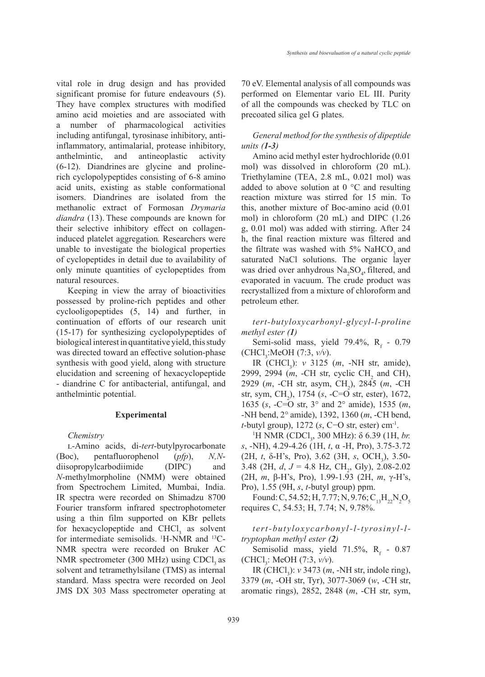vital role in drug design and has provided significant promise for future endeavours (5). They have complex structures with modified amino acid moieties and are associated with a number of pharmacological activities including antifungal, tyrosinase inhibitory, antiinflammatory, antimalarial, protease inhibitory, anthelmintic, and antineoplastic activity (6-12). Diandrines are glycine and prolinerich cyclopolypeptides consisting of 6-8 amino acid units, existing as stable conformational isomers. Diandrines are isolated from the methanolic extract of Formosan *Drymaria diandra* (13). These compounds are known for their selective inhibitory effect on collageninduced platelet aggregation*.* Researchers were unable to investigate the biological properties of cyclopeptides in detail due to availability of only minute quantities of cyclopeptides from natural resources.

Keeping in view the array of bioactivities possessed by proline-rich peptides and other cyclooligopeptides (5, 14) and further, in continuation of efforts of our research unit (15-17) for synthesizing cyclopolypeptides of biological interest in quantitative yield, this study was directed toward an effective solution-phase synthesis with good yield, along with structure elucidation and screening of hexacyclopeptide - diandrine C for antibacterial, antifungal, and anthelmintic potential.

#### **Experimental**

*Chemistry* 

l-Amino acids, di-*tert*-butylpyrocarbonate (Boc), pentafluorophenol (*pfp*), *N,N*diisopropylcarbodiimide (DIPC) and *N*-methylmorpholine (NMM) were obtained from Spectrochem Limited, Mumbai, India. IR spectra were recorded on Shimadzu 8700 Fourier transform infrared spectrophotometer using a thin film supported on KBr pellets for hexacyclopeptide and  $CHCl<sub>3</sub>$  as solvent for intermediate semisolids. <sup>1</sup>H-NMR and <sup>13</sup>C-NMR spectra were recorded on Bruker AC NMR spectrometer  $(300 \text{ MHz})$  using CDCl<sub>3</sub> as solvent and tetramethylsilane (TMS) as internal standard. Mass spectra were recorded on Jeol JMS DX 303 Mass spectrometer operating at

70 eV. Elemental analysis of all compounds was performed on Elementar vario EL III. Purity of all the compounds was checked by TLC on precoated silica gel G plates.

## *General method for the synthesis of dipeptide units (1-3)*

Amino acid methyl ester hydrochloride (0.01 mol) was dissolved in chloroform (20 mL). Triethylamine (TEA, 2.8 mL, 0.021 mol) was added to above solution at  $0^{\circ}$ C and resulting reaction mixture was stirred for 15 min. To this, another mixture of Boc-amino acid (0.01 mol) in chloroform (20 mL) and DIPC (1.26 g, 0.01 mol) was added with stirring. After 24 h, the final reaction mixture was filtered and the filtrate was washed with 5% NaHCO, and saturated NaCl solutions. The organic layer was dried over anhydrous  $\text{Na}_2\text{SO}_4$ , filtered, and evaporated in vacuum. The crude product was recrystallized from a mixture of chloroform and petroleum ether.

*tert-butyloxycarbonyl-glycyl-l-proline methyl ester (1)*

Semi-solid mass, yield 79.4%,  $R_f$  - 0.79 (CHCl<sub>3</sub>:MeOH (7:3, *v*/*v*).

IR (CHCl3 ): *v* 3125 (*m*, -NH str, amide), 2999, 2994 (*m*, -CH str, cyclic CH<sub>2</sub> and CH), 2929 (*m*, -CH str, asym, CH<sub>2</sub>), 2845 (*m*, -CH str, sym, CH<sub>2</sub>), 1754 (*s*, -C=O str, ester), 1672, 1635 (*s*, -C=O str, 3° and 2° amide), 1535 (*m*, -NH bend, 2° amide), 1392, 1360 (*m*, -CH bend, *t*-butyl group), 1272 (*s*, C−O str, ester) cm-1.

<sup>1</sup>H NMR (CDCl<sub>3</sub>, 300 MHz): δ 6.39 (1H, *br*. *s*, -NH), 4.29-4.26 (1H, *t*, α -H, Pro), 3.75-3.72 (2H, *t*, δ-H's, Pro), 3.62 (3H, *s*, OCH<sub>3</sub>), 3.50-3.48 (2H,  $d, J = 4.8$  Hz, CH<sub>2</sub>, Gly), 2.08-2.02 (2H, *m*, β-H's, Pro), 1.99-1.93 (2H, *m*, γ-H's, Pro), 1.55 (9H, *s*, *t*-butyl group) ppm.

Found: C, 54.52; H, 7.77; N, 9.76;  $C_{13}H_{22}N_2O_5$ requires C, 54.53; H, 7.74; N, 9.78%.

# *tert-butyloxycarbonyl-l-tyrosinyl-ltryptophan methyl ester (2)*

Semisolid mass, yield  $71.5\%$ , R<sub>f</sub> - 0.87 (CHCl3 : MeOH (7:3, *v/v*).

IR (CHCl3 ): *v* 3473 (*m*, -NH str, indole ring), 3379 (*m*, -OH str, Tyr), 3077-3069 (*w*, -CH str, aromatic rings), 2852, 2848 (*m*, -CH str, sym,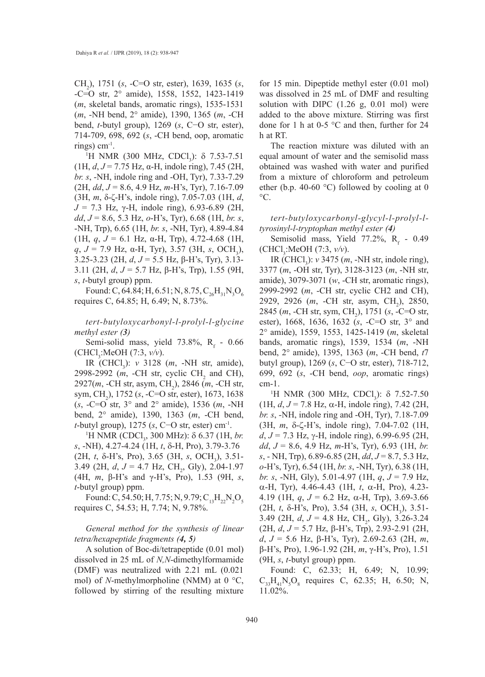CH2 ), 1751 (*s*, -C=O str, ester), 1639, 1635 (*s*, -C=O str, 2° amide), 1558, 1552, 1423-1419 (*m*, skeletal bands, aromatic rings), 1535-1531 (*m*, -NH bend, 2° amide), 1390, 1365 (*m*, -CH bend, *t*-butyl group), 1269 (*s*, C−O str, ester), 714-709, 698, 692 (*s*, -CH bend, oop, aromatic rings)  $cm^{-1}$ .

<sup>1</sup>H NMR (300 MHz, CDCl<sub>3</sub>): δ 7.53-7.51 (1H, *d*, *J* = 7.75 Hz, α-H, indole ring), 7.45 (2H, *br. s*, -NH, indole ring and -OH, Tyr), 7.33-7.29 (2H, *dd*, *J* = 8.6, 4.9 Hz, *m*-H's, Tyr), 7.16-7.09 (3H, *m*, δ-ζ-H's, indole ring), 7.05-7.03 (1H, *d*, *J* = 7.3 Hz, γ-H, indole ring), 6.93-6.89 (2H, *dd*, *J* = 8.6, 5.3 Hz, *o*-H's, Tyr), 6.68 (1H, *br. s*, -NH, Trp), 6.65 (1H, *br. s*, -NH, Tyr), 4.89-4.84 (1H,  $q$ ,  $J = 6.1$  Hz,  $\alpha$ -H, Trp), 4.72-4.68 (1H,  $q, J = 7.9$  Hz,  $\alpha$ -H, Tyr), 3.57 (3H, *s*, OCH<sub>3</sub>), 3.25-3.23 (2H, *d*, *J* = 5.5 Hz, β-H's, Tyr), 3.13- 3.11 (2H, *d*, *J* = 5.7 Hz, β-H's, Trp), 1.55 (9H, *s*, *t*-butyl group) ppm.

Found: C, 64.84; H, 6.51; N, 8.75,  $C_{26}H_{31}N_3O_6$ requires C, 64.85; H, 6.49; N, 8.73%.

*tert-butyloxycarbonyl-l-prolyl-l-glycine methyl ester (3)*

Semi-solid mass, yield  $73.8\%$ , R<sub>f</sub> - 0.66 (CHCl3 :MeOH (7:3, *v/v*).

IR (CHCl3 ): *v* 3128 (*m*, -NH str, amide), 2998-2992 (*m*, -CH str, cyclic CH<sub>2</sub> and CH), 2927(*m*, -CH str, asym, CH<sub>2</sub>), 2846 (*m*, -CH str, sym, CH<sub>2</sub>), 1752 (*s*, -C=O str, ester), 1673, 1638 (*s*, -C=O str, 3° and 2° amide), 1536 (*m*, -NH bend, 2° amide), 1390, 1363 (*m*, -CH bend, *t*-butyl group), 1275 (*s*, C−O str, ester) cm-1.

<sup>1</sup>H NMR (CDCl<sub>3</sub>, 300 MHz): δ 6.37 (1H, *br*. *s*, -NH), 4.27-4.24 (1H, *t*, δ-H, Pro), 3.79-3.76 (2H, *t*, δ-H's, Pro), 3.65 (3H, *s*, OCH<sub>3</sub>), 3.51-3.49 (2H, *d*, *J* = 4.7 Hz, CH<sub>2</sub>, Gly), 2.04-1.97 (4H, *m*, β-H's and γ-H's, Pro), 1.53 (9H, *s*, *t*-butyl group) ppm.

Found: C, 54.50; H, 7.75; N, 9.79;  $C_{13}H_{22}N_2O_5$ requires C, 54.53; H, 7.74; N, 9.78%.

*General method for the synthesis of linear tetra/hexapeptide fragments (4, 5)*

A solution of Boc-di/tetrapeptide (0.01 mol) dissolved in 25 mL of *N,N*-dimethylformamide (DMF) was neutralized with 2.21 mL (0.021 mol) of *N*-methylmorpholine (NMM) at 0 °C, followed by stirring of the resulting mixture for 15 min. Dipeptide methyl ester (0.01 mol) was dissolved in 25 mL of DMF and resulting solution with DIPC (1.26 g, 0.01 mol) were added to the above mixture. Stirring was first done for 1 h at 0-5 °C and then, further for 24 h at RT.

The reaction mixture was diluted with an equal amount of water and the semisolid mass obtained was washed with water and purified from a mixture of chloroform and petroleum ether (b.p. 40-60 °C) followed by cooling at 0  $\rm{^{\circ}C}.$ 

*tert-butyloxycarbonyl-glycyl-l-prolyl-ltyrosinyl-l-tryptophan methyl ester (4)*

Semisolid mass, Yield 77.2%,  $R_f$  - 0.49 (CHCl<sub>3</sub>:MeOH (7:3, *v*/*v*).

IR (CHCl<sub>3</sub>): *v* 3475 (*m*, -NH str, indole ring), 3377 (*m*, -OH str, Tyr), 3128-3123 (*m*, -NH str, amide), 3079-3071 (*w*, -CH str, aromatic rings), 2999-2992 (*m*, -CH str, cyclic CH2 and CH), 2929, 2926 (*m*, -CH str, asym, CH<sub>2</sub>), 2850, 2845 (*m*, -CH str, sym, CH<sub>2</sub>), 1751 (*s*, -C=O str, ester), 1668, 1636, 1632 (*s*, -C=O str, 3° and 2° amide), 1559, 1553, 1425-1419 (*m*, skeletal bands, aromatic rings), 1539, 1534 (*m*, -NH bend, 2° amide), 1395, 1363 (*m*, -CH bend, *t*7 butyl group), 1269 (*s*, C−O str, ester), 718-712, 699, 692 (*s*, -CH bend, *oop*, aromatic rings) cm-1.

<sup>1</sup>H NMR (300 MHz, CDCl<sub>3</sub>): δ 7.52-7.50 (1H, *d*, *J* = 7.8 Hz, α-H, indole ring), 7.42 (2H, *br. s*, -NH, indole ring and -OH, Tyr), 7.18-7.09 (3H, *m*, δ-ζ-H's, indole ring), 7.04-7.02 (1H, *d*, *J* = 7.3 Hz, γ-H, indole ring), 6.99-6.95 (2H, *dd*, *J* = 8.6, 4.9 Hz, *m*-H's, Tyr), 6.93 (1H, *br. s*, - NH, Trp), 6.89-6.85 (2H, *dd*, *J* = 8.7, 5.3 Hz, *o*-H's, Tyr), 6.54 (1H, *br. s*, -NH, Tyr), 6.38 (1H, *br. s*, -NH, Gly), 5.01-4.97 (1H, *q*, *J* = 7.9 Hz, α-H, Tyr), 4.46-4.43 (1H, *t*, α-H, Pro), 4.23- 4.19 (1H, *q*, *J* = 6.2 Hz, α-H, Trp), 3.69-3.66 (2H, *t*, δ-H's, Pro), 3.54 (3H, *s*, OCH<sub>3</sub>), 3.51-3.49 (2H,  $d, J = 4.8$  Hz, CH<sub>2</sub>, Gly), 3.26-3.24 (2H, *d*, *J* = 5.7 Hz, β-H's, Trp), 2.93-2.91 (2H, *d*, *J* = 5.6 Hz, β-H's, Tyr), 2.69-2.63 (2H, *m*, β-H's, Pro), 1.96-1.92 (2H, *m*, γ-H's, Pro), 1.51 (9H, *s*, *t*-butyl group) ppm.

Found: C, 62.33; H, 6.49; N, 10.99;  $C_{33}H_{41}N_5O_8$  requires C, 62.35; H, 6.50; N, 11.02%.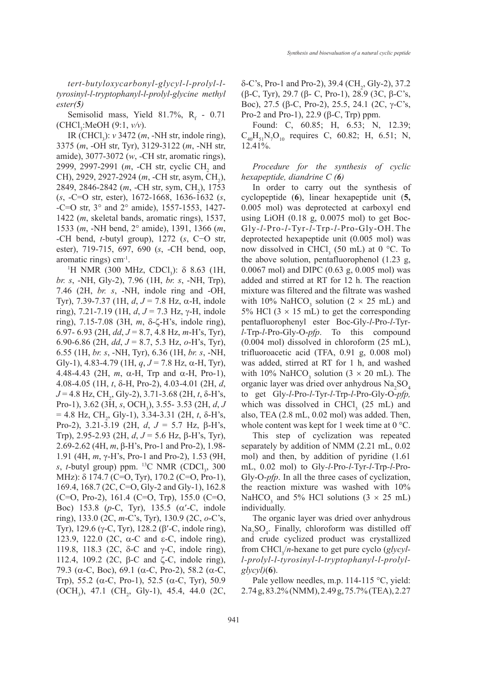*tert-butyloxycarbonyl-glycyl-l-prolyl-ltyrosinyl-l-tryptophanyl-l-prolyl-glycine methyl ester(5)*

Semisolid mass, Yield 81.7%,  $R_f$  - 0.71 (CHCl<sub>3</sub>:MeOH (9:1, *v*/*v*).

IR (CHCl<sub>3</sub>): *v* 3472 (*m*, -NH str, indole ring), 3375 (*m*, -OH str, Tyr), 3129-3122 (*m*, -NH str, amide), 3077-3072 (*w*, -CH str, aromatic rings), 2999, 2997-2991 (*m*, -CH str, cyclic CH<sub>2</sub> and CH), 2929, 2927-2924 (*m*, -CH str, asym, CH<sub>2</sub>), 2849, 2846-2842 (*m*, -CH str, sym, CH<sub>2</sub>), 1753 (*s*, -C=O str, ester), 1672-1668, 1636-1632 (*s*, -C=O str, 3° and 2° amide), 1557-1553, 1427- 1422 (*m*, skeletal bands, aromatic rings), 1537, 1533 (*m*, -NH bend, 2° amide), 1391, 1366 (*m*, -CH bend, *t*-butyl group), 1272 (*s*, C−O str, ester), 719-715, 697, 690 (*s*, -CH bend, oop, aromatic rings) cm-1.

<sup>1</sup>H NMR (300 MHz, CDCl<sub>3</sub>): δ 8.63 (1H, *br. s*, -NH, Gly-2), 7.96 (1H, *br. s*, -NH, Trp), 7.46 (2H, *br. s*, -NH, indole ring and -OH, Tyr), 7.39-7.37 (1H, *d*, *J* = 7.8 Hz, α-H, indole ring), 7.21-7.19 (1H, *d*, *J* = 7.3 Hz, γ-H, indole ring), 7.15-7.08 (3H, *m*, δ-ζ-H's, indole ring), 6.97- 6.93 (2H, *dd*, *J* = 8.7, 4.8 Hz, *m*-H's, Tyr), 6.90-6.86 (2H, *dd*, *J* = 8.7, 5.3 Hz, *o*-H's, Tyr), 6.55 (1H, *br. s*, -NH, Tyr), 6.36 (1H, *br. s*, -NH, Gly-1), 4.83-4.79 (1H,  $q$ ,  $J = 7.8$  Hz,  $\alpha$ -H, Tyr), 4.48-4.43 (2H, *m*, α-H, Trp and α-H, Pro-1), 4.08-4.05 (1H, *t*, δ-H, Pro-2), 4.03-4.01 (2H, *d*,  $J = 4.8$  Hz, CH<sub>2</sub>, Gly-2), 3.71-3.68 (2H, *t*, δ-H's, Pro-1), 3.62 (3H, *s*, OCH<sub>3</sub>), 3.55- 3.53 (2H, *d*, *J*  $= 4.8$  Hz, CH<sub>2</sub>, Gly-1), 3.34-3.31 (2H, *t*,  $\delta$ -H's, Pro-2), 3.21-3.19 (2H, *d*, *J* = 5.7 Hz, β-H's, Trp), 2.95-2.93 (2H, *d*, *J* = 5.6 Hz, β-H's, Tyr), 2.69-2.62 (4H, *m*, β-H's, Pro-1 and Pro-2), 1.98- 1.91 (4H, *m*, γ-H's, Pro-1 and Pro-2), 1.53 (9H,  $s$ , *t*-butyl group) ppm. <sup>13</sup>C NMR (CDCl<sub>3</sub>, 300 MHz): δ 174.7 (C=O, Tyr), 170.2 (C=O, Pro-1), 169.4, 168.7 (2C, C=O, Gly-2 and Gly-1), 162.8 (C=O, Pro-2), 161.4 (C=O, Trp), 155.0 (C=O, Boc) 153.8 (*p*-C, Tyr), 135.5 (α′-C, indole ring), 133.0 (2C, *m*-C's, Tyr), 130.9 (2C, *o*-C's, Tyr), 129.6 (γ-C, Tyr), 128.2 (β′-C, indole ring), 123.9, 122.0 (2C, α-C and ε-C, indole ring), 119.8, 118.3 (2C, δ-C and γ-C, indole ring), 112.4, 109.2 (2C, β-C and ζ-C, indole ring), 79.3 (α-C, Boc), 69.1 (α-C, Pro-2), 58.2 (α-C, Trp), 55.2 (α-C, Pro-1), 52.5 (α-C, Tyr), 50.9  $(OCH<sub>3</sub>)$ , 47.1  $(CH<sub>2</sub>$ , Gly-1), 45.4, 44.0 (2C,

 $\delta$ -C's, Pro-1 and Pro-2), 39.4 (CH<sub>2</sub>, Gly-2), 37.2 (β-C, Tyr), 29.7 (β- C, Pro-1), 28.9 (3C, β-C's, Boc), 27.5 (β-C, Pro-2), 25.5, 24.1 (2C, γ-C's, Pro-2 and Pro-1), 22.9 (β-C, Trp) ppm.

Found: C, 60.85; H, 6.53; N, 12.39;  $C_{40}H_{51}N_7O_{10}$  requires C, 60.82; H, 6.51; N, 12.41%.

*Procedure for the synthesis of cyclic hexapeptide, diandrine C (6)*

In order to carry out the synthesis of cyclopeptide (**6**), linear hexapeptide unit (**5,**  0.005 mol) was deprotected at carboxyl end using LiOH  $(0.18 \text{ g}, 0.0075 \text{ mol})$  to get Boc-Gly*-l-*Pro*-l*-Tyr*-l-*Trp*-l-*Pro-Gly-OH. The deprotected hexapeptide unit (0.005 mol) was now dissolved in CHCl<sub>3</sub> (50 mL) at 0 °C. To the above solution, pentafluorophenol (1.23 g, 0.0067 mol) and DIPC (0.63 g, 0.005 mol) was added and stirred at RT for 12 h. The reaction mixture was filtered and the filtrate was washed with 10% NaHCO<sub>3</sub> solution ( $2 \times 25$  mL) and 5% HCl  $(3 \times 15 \text{ mL})$  to get the corresponding pentafluorophenyl ester Boc-Gly*-l-*Pro*-l-*Tyr*l-*Trp*-l-*Pro-Gly-O-*pfp*. To this compound (0.004 mol) dissolved in chloroform (25 mL), trifluoroacetic acid (TFA, 0.91 g, 0.008 mol) was added, stirred at RT for 1 h, and washed with 10% NaHCO<sub>3</sub> solution ( $3 \times 20$  mL). The organic layer was dried over anhydrous  $\text{Na}_2\text{SO}_4$ to get Gly*-l-*Pro*-l-*Tyr*-l-*Trp*-l-*Pro-Gly-O-*pfp,*  which was dissolved in CHCl<sub>3</sub> (25 mL) and also, TEA (2.8 mL, 0.02 mol) was added. Then, whole content was kept for 1 week time at 0 °C.

This step of cyclization was repeated separately by addition of NMM (2.21 mL, 0.02 mol) and then, by addition of pyridine (1.61 mL, 0.02 mol) to Gly*-l-*Pro*-l-*Tyr*-l-*Trp*-l-*Pro-Gly-O-*pfp*. In all the three cases of cyclization, the reaction mixture was washed with 10% NaHCO<sub>3</sub> and 5% HCl solutions  $(3 \times 25 \text{ mL})$ individually.

The organic layer was dried over anhydrous Na2 SO4 . Finally, chloroform was distilled off and crude cyclized product was crystallized from CHCl<sub>3</sub>/*n*-hexane to get pure cyclo (*glycyll-prolyl-l-tyrosinyl-l-tryptophanyl-l-prolylglycyl)*(**6**).

Pale yellow needles, m.p. 114-115 °C, yield: 2.74 g, 83.2% (NMM), 2.49 g, 75.7% (TEA), 2.27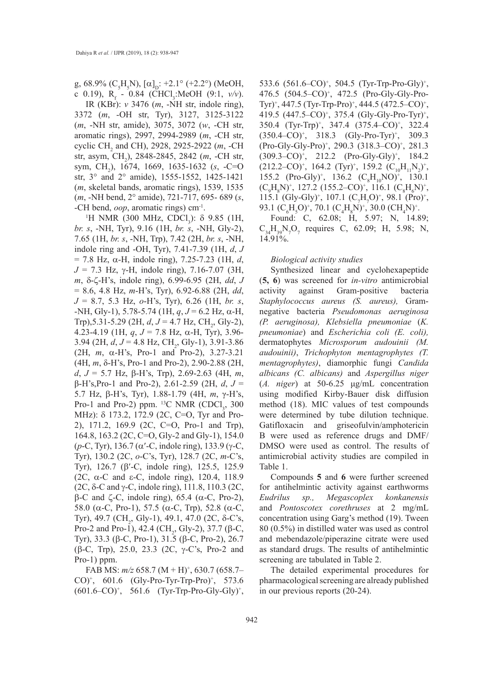g, 68.9% (C<sub>5</sub>H<sub>5</sub>N), [ $\alpha$ ]<sub>D</sub>: +2.1° (+2.2°) (MeOH, c 0.19), R<sub>f</sub> - 0.84 (CHCl<sub>3</sub>:MeOH (9:1, *v*/v).

IR (KBr): *v* 3476 (*m*, -NH str, indole ring), 3372 (*m*, -OH str, Tyr), 3127, 3125-3122 (*m*, -NH str, amide), 3075, 3072 (*w*, -CH str, aromatic rings), 2997, 2994-2989 (*m*, -CH str, cyclic CH2 and CH), 2928, 2925-2922 (*m*, -CH str, asym, CH2 ), 2848-2845, 2842 (*m*, -CH str, sym, CH2 ), 1674, 1669, 1635-1632 (*s*, -C=O str, 3° and 2° amide), 1555-1552, 1425-1421 (*m*, skeletal bands, aromatic rings), 1539, 1535 (*m*, -NH bend, 2° amide), 721-717, 695- 689 (*s*, -CH bend, *oop*, aromatic rings) cm-1.

<sup>1</sup>H NMR (300 MHz, CDCl<sub>3</sub>): δ 9.85 (1H, *br. s*, -NH, Tyr), 9.16 (1H, *br. s*, -NH, Gly-2), 7.65 (1H, *br. s*, -NH, Trp), 7.42 (2H, *br. s*, -NH, indole ring and -OH, Tyr), 7.41-7.39 (1H, *d*, *J*  = 7.8 Hz, α-H, indole ring), 7.25-7.23 (1H, *d*, *J* = 7.3 Hz, γ-H, indole ring), 7.16-7.07 (3H, *m*, δ-ζ-H's, indole ring), 6.99-6.95 (2H, *dd*, *J*  = 8.6, 4.8 Hz, *m*-H's, Tyr), 6.92-6.88 (2H, *dd*, *J* = 8.7, 5.3 Hz, *o*-H's, Tyr), 6.26 (1H, *br. s*, -NH, Gly-1), 5.78-5.74 (1H, *q*, *J* = 6.2 Hz, α-H, Trp),5.31-5.29 (2H,  $d, J = 4.7$  Hz, CH<sub>2</sub>, Gly-2), 4.23-4.19 (1H, *q*, *J* = 7.8 Hz, α-H, Tyr), 3.96-  $3.94$  (2H,  $d, J = 4.8$  Hz, CH<sub>2</sub>, Gly-1),  $3.91 - 3.86$ (2H, *m*, α-H's, Pro-1 and Pro-2), 3.27-3.21 (4H, *m*, δ-H's, Pro-1 and Pro-2), 2.90-2.88 (2H, *d*, *J* = 5.7 Hz, β-H's, Trp), 2.69-2.63 (4H, *m*, β-H's,Pro-1 and Pro-2), 2.61-2.59 (2H, *d*, *J* = 5.7 Hz, β-H's, Tyr), 1.88-1.79 (4H, *m*, γ-H's, Pro-1 and Pro-2) ppm.  $^{13}C$  NMR (CDCl<sub>3</sub>, 300 MHz): δ 173.2, 172.9 (2C, C=O, Tyr and Pro-2), 171.2, 169.9 (2C, C=O, Pro-1 and Trp), 164.8, 163.2 (2C, C=O, Gly-2 and Gly-1), 154.0 (*p*-C, Tyr), 136.7 (α′-C, indole ring), 133.9 (γ-C, Tyr), 130.2 (2C, *o*-C's, Tyr), 128.7 (2C, *m*-C's, Tyr), 126.7 (β′-C, indole ring), 125.5, 125.9 (2C, α-C and ε-C, indole ring), 120.4, 118.9 (2C, δ-C and γ-C, indole ring), 111.8, 110.3 (2C, β-C and ζ-C, indole ring), 65.4 (α-C, Pro-2), 58.0 (α-C, Pro-1), 57.5 (α-C, Trp), 52.8 (α-C, Tyr), 49.7 (CH<sub>2</sub>, Gly-1), 49.1, 47.0 (2C, δ-C's, Pro-2 and Pro-1), 42.4 (CH<sub>2</sub>, Gly-2), 37.7 (β-C, Tyr), 33.3 (β-C, Pro-1), 31.5 (β-C, Pro-2), 26.7 (β-C, Trp), 25.0, 23.3 (2C, γ-C's, Pro-2 and Pro-1) ppm.

FAB MS: *m/z* 658.7 (M + H)+ , 630.7 (658.7– CO)<sup>+</sup>, 601.6 (Gly-Pro-Tyr-Trp-Pro)<sup>+</sup>, 573.6  $(601.6{\text -}C O)^+$ , 561.6 (Tyr-Trp-Pro-Gly-Gly)<sup>+</sup>, 533.6 (561.6–CO)+ , 504.5 (Tyr-Trp-Pro-Gly)+ , 476.5 (504.5–CO)+ , 472.5 (Pro-Gly-Gly-Pro-Tyr)<sup>+</sup>, 447.5 (Tyr-Trp-Pro)<sup>+</sup>, 444.5 (472.5–CO)<sup>+</sup>, 419.5 (447.5–CO)+ , 375.4 (Gly-Gly-Pro-Tyr)+ , 350.4 (Tyr-Trp)+ , 347.4 (375.4–CO)+ , 322.4  $(350.4{\text{-}}\text{CO})^+$ , 318.3  $(Gly\text{-}Pro\text{-}Typ\text{-}Top\text{-}Top\text{-}Top\text{-}Top\text{-}Prop\text{-}Prop$ (Pro-Gly-Gly-Pro)+ , 290.3 (318.3–CO)+ , 281.3  $(309.3–CO)^{+}$ , 212.2  $(Pro-Gly-Gly)^{+}$ , 184.2  $(212.2{\text -}CO)^{*}$ , 164.2  $(Tyr)^{*}$ , 159.2  $(C_{10}H_{11}N_{2})^{*}$ , 155.2 (Pro-Gly)<sup>+</sup>, 136.2 (C<sub>8</sub>H<sub>10</sub>NO)<sup>+</sup>, 130.1  $(C_9H_8N)^+$ , 127.2 (155.2–CO)<sup>+</sup>, 116.1  $(C_8H_6N)^+$ , 115.1 (Gly-Gly)<sup>+</sup>, 107.1 (C<sub>7</sub>H<sub>7</sub>O)<sup>+</sup>, 98.1 (Pro)<sup>+</sup>, 93.1 (C<sub>6</sub>H<sub>5</sub>O)<sup>+</sup>, 70.1 (C<sub>4</sub>H<sub>8</sub>N)<sup>+</sup>, 30.0 (CH<sub>4</sub>N)<sup>+</sup>.

Found: C, 62.08; H, 5.97; N, 14.89;  $C_{34}H_{39}N_{7}O_{7}$  requires C, 62.09; H, 5.98; N, 14.91%.

## *Biological activity studies*

Synthesized linear and cyclohexapeptide (**5, 6**) was screened for *in-vitro* antimicrobial activity against Gram-positive bacteria *Staphylococcus aureus (S. aureus),* Gramnegative bacteria *Pseudomonas aeruginosa (P. aeruginosa), Klebsiella pneumoniae* (*K. pneumoniae*) and *Escherichia coli (E. coli),*  dermatophytes *Microsporum audouinii (M. audouinii)*, *Trichophyton mentagrophytes (T. mentagrophytes)*, diamorphic fungi *Candida albicans (C. albicans)* and *Aspergillus niger*  (*A. niger*) at 50-6.25 μg/mL concentration using modified Kirby-Bauer disk diffusion method (18). MIC values of test compounds were determined by tube dilution technique. Gatifloxacin and griseofulvin/amphotericin B were used as reference drugs and DMF/ DMSO were used as control. The results of antimicrobial activity studies are compiled in Table 1.

Compounds **5** and **6** were further screened for antihelmintic activity against earthworms *Eudrilus sp., Megascoplex konkanensis*  and *Pontoscotex corethruses* at 2 mg/mL concentration using Garg's method (19). Tween 80 (0.5%) in distilled water was used as control and mebendazole/piperazine citrate were used as standard drugs. The results of antihelmintic screening are tabulated in Table 2.

The detailed experimental procedures for pharmacological screening are already published in our previous reports (20-24).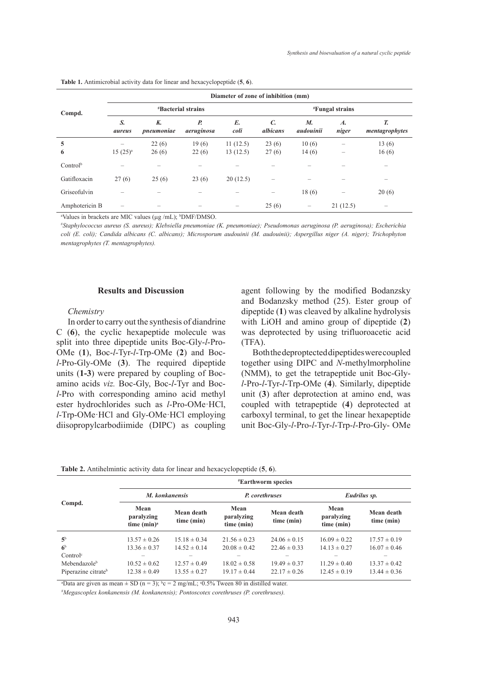| Compd.         | Diameter of zone of inhibition (mm)     |                  |                  |                      |                                      |                 |                                           |                          |  |  |  |
|----------------|-----------------------------------------|------------------|------------------|----------------------|--------------------------------------|-----------------|-------------------------------------------|--------------------------|--|--|--|
|                | <i><b><i>E</i></b>Bacterial strains</i> |                  |                  |                      | <i><b><i>"</i>Fungal strains</b></i> |                 |                                           |                          |  |  |  |
|                | S.<br>aureus                            | K.<br>pneumoniae | Р.<br>aeruginosa | E.<br>coli           | $\mathcal{C}$<br>albicans            | M.<br>audouinii | $\boldsymbol{A}$ .<br>niger               | T.<br>mentagrophytes     |  |  |  |
| 5<br>6         | $15(25)^{a}$                            | 22(6)<br>26(6)   | 19(6)<br>22(6)   | 11(12.5)<br>13(12.5) | 23(6)<br>27(6)                       | 10(6)<br>14(6)  | $\qquad \qquad \overline{\qquad \qquad }$ | 13(6)<br>16(6)           |  |  |  |
| $Control^b$    |                                         |                  |                  |                      |                                      |                 |                                           |                          |  |  |  |
| Gatifloxacin   | 27(6)                                   | 25(6)            | 23(6)            | 20(12.5)             | -                                    |                 |                                           | $\overline{\phantom{a}}$ |  |  |  |
| Griseofulvin   |                                         |                  |                  |                      |                                      | 18(6)           | $\qquad \qquad \overline{\qquad \qquad }$ | 20(6)                    |  |  |  |
| Amphotericin B |                                         |                  |                  |                      | 25(6)                                |                 | 21(12.5)                                  |                          |  |  |  |

**Table 1.** Antimicrobial activity data for linear and hexacyclopeptide (**5**, **6**).

<sup>a</sup>Values in brackets are MIC values (µg /mL); <sup>b</sup>DMF/DMSO.

# *Staphylococcus aureus (S. aureus); Klebsiella pneumoniae (K. pneumoniae); Pseudomonas aeruginosa (P. aeruginosa); Escherichia coli (E. coli); Candida albicans (C. albicans); Microsporum audouinii (M. audouinii); Aspergillus niger (A. niger); Trichophyton mentagrophytes (T. mentagrophytes).*

#### **Results and Discussion**

## *Chemistry*

In order to carry out the synthesis of diandrine C (**6**), the cyclic hexapeptide molecule was split into three dipeptide units Boc-Gly-*l*-Pro-OMe (**1**), Boc-*l*-Tyr-*l*-Trp-OMe (**2**) and Boc*l*-Pro-Gly-OMe (**3**). The required dipeptide units (**1-3**) were prepared by coupling of Bocamino acids *viz.* Boc-Gly, Boc-*l*-Tyr and Boc*l*-Pro with corresponding amino acid methyl ester hydrochlorides such as *l*-Pro-OMe·HCl, *l*-Trp-OMe·HCl and Gly-OMe·HCl employing diisopropylcarbodiimide (DIPC) as coupling agent following by the modified Bodanzsky and Bodanzsky method (25). Ester group of dipeptide (**1**) was cleaved by alkaline hydrolysis with LiOH and amino group of dipeptide (**2**) was deprotected by using trifluoroacetic acid (TFA).

Both the deproptected dipeptides were coupled together using DIPC and *N*-methylmorpholine (NMM), to get the tetrapeptide unit Boc-Gly*l*-Pro-*l*-Tyr-*l*-Trp-OMe (**4**). Similarly, dipeptide unit (**3**) after deprotection at amino end, was coupled with tetrapeptide (**4**) deprotected at carboxyl terminal, to get the linear hexapeptide unit Boc-Gly-*l*-Pro-*l*-Tyr-*l*-Trp-*l*-Pro-Gly- OMe

**Table 2.** Antihelmintic activity data for linear and hexacyclopeptide (**5**, **6**).

|                                 | <i><b><i>Earthworm species</i></b></i> |                          |                                  |                          |                                  |                          |  |  |  |  |
|---------------------------------|----------------------------------------|--------------------------|----------------------------------|--------------------------|----------------------------------|--------------------------|--|--|--|--|
|                                 |                                        | M. konkanensis           |                                  | P. corethruses           | Eudrilus sp.                     |                          |  |  |  |  |
| Compd.                          | Mean<br>paralyzing<br>time $(min)^a$   | Mean death<br>time (min) | Mean<br>paralyzing<br>time (min) | Mean death<br>time (min) | Mean<br>paralyzing<br>time (min) | Mean death<br>time (min) |  |  |  |  |
| 5 <sup>b</sup>                  | $13.57 \pm 0.26$                       | $15.18 \pm 0.34$         | $21.56 \pm 0.23$                 | $24.06 \pm 0.15$         | $16.09 \pm 0.22$                 | $17.57 \pm 0.19$         |  |  |  |  |
| 6 <sup>b</sup>                  | $13.36 \pm 0.37$                       | $14.52 \pm 0.14$         | $20.08 \pm 0.42$                 | $22.46 \pm 0.33$         | $14.13 \pm 0.27$                 | $16.07 \pm 0.46$         |  |  |  |  |
| Control <sup>c</sup>            |                                        |                          |                                  |                          |                                  |                          |  |  |  |  |
| Mebendazole <sup>b</sup>        | $10.52 \pm 0.62$                       | $12.57 \pm 0.49$         | $18.02 \pm 0.58$                 | $19.49 \pm 0.37$         | $11.29 \pm 0.40$                 | $13.37 \pm 0.42$         |  |  |  |  |
| Piperazine citrate <sup>b</sup> | $12.38 \pm 0.49$                       | $13.55 \pm 0.27$         | $19.17 \pm 0.44$                 | $22.17 \pm 0.26$         | $12.45 \pm 0.19$                 | $13.44 \pm 0.36$         |  |  |  |  |

<sup>a</sup>Data are given as mean  $\pm$  SD (n = 3);  $^{\circ}$ c = 2 mg/mL;  $^{\circ}$ 0.5% Tween 80 in distilled water.

# *Megascoplex konkanensis (M. konkanensis); Pontoscotex corethruses (P. corethruses).*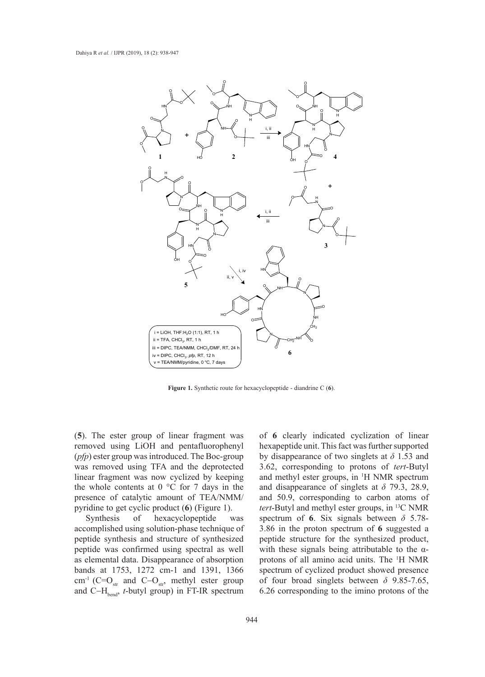

**Figure 1.** Synthetic route for hexacyclopeptide - diandrine C (6).

(**5**). The ester group of linear fragment was removed using LiOH and pentafluorophenyl (*pfp*) ester group was introduced. The Boc-group was removed using TFA and the deprotected linear fragment was now cyclized by keeping the whole contents at  $0^{\circ}$ C for 7 days in the presence of catalytic amount of TEA/NMM/ pyridine to get cyclic product (**6**) (Figure 1).

Synthesis of hexacyclopeptide was accomplished using solution-phase technique of peptide synthesis and structure of synthesized peptide was confirmed using spectral as well as elemental data. Disappearance of absorption bands at 1753, 1272 cm-1 and 1391, 1366 cm<sup>-1</sup> (C=O<sub>str</sub> and C-O<sub>str</sub>, methyl ester group and  $C-H<sub>hend</sub>$ , *t*-butyl group) in FT-IR spectrum

of **6** clearly indicated cyclization of linear hexapeptide unit. This fact was further supported by disappearance of two singlets at *δ* 1.53 and 3.62, corresponding to protons of *tert*-Butyl and methyl ester groups, in 1 H NMR spectrum and disappearance of singlets at *δ* 79.3, 28.9, and 50.9, corresponding to carbon atoms of *tert*-Butyl and methyl ester groups, in 13C NMR spectrum of **6**. Six signals between *δ* 5.78- 3.86 in the proton spectrum of **6** suggested a peptide structure for the synthesized product, with these signals being attributable to the  $\alpha$ protons of all amino acid units. The 1 H NMR spectrum of cyclized product showed presence of four broad singlets between *δ* 9.85-7.65, 6.26 corresponding to the imino protons of the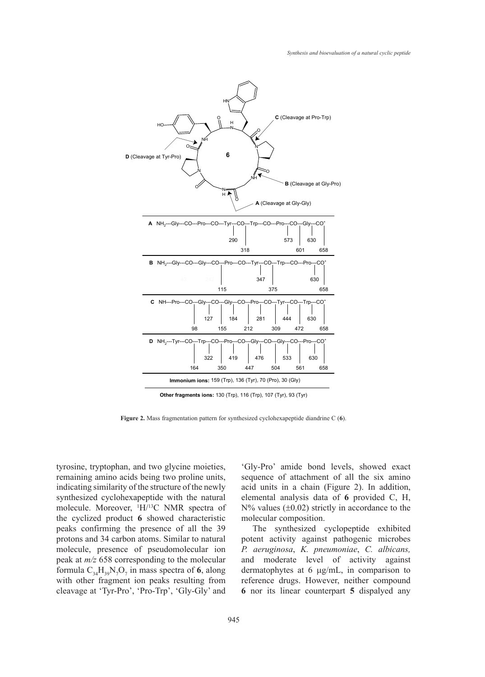

**Other fragments ions:** 130 (Trp), 116 (Trp), 107 (Tyr), 93 (Tyr)

Figure 2. Mass fragmentation pattern for synthesized cyclohexapeptide diandrine C (6).

tyrosine, tryptophan, and two glycine moieties, remaining amino acids being two proline units, indicating similarity of the structure of the newly synthesized cyclohexapeptide with the natural molecule. Moreover, 1 H/13C NMR spectra of the cyclized product **6** showed characteristic peaks confirming the presence of all the 39 protons and 34 carbon atoms. Similar to natural molecule, presence of pseudomolecular ion peak at *m/z* 658 corresponding to the molecular formula  $C_{34}H_{39}N_7O_7$  in mass spectra of 6, along with other fragment ion peaks resulting from cleavage at 'Tyr-Pro', 'Pro-Trp', 'Gly-Gly' and

'Gly-Pro' amide bond levels, showed exact sequence of attachment of all the six amino acid units in a chain (Figure 2). In addition, elemental analysis data of **6** provided C, H,  $N\%$  values ( $\pm 0.02$ ) strictly in accordance to the molecular composition.

The synthesized cyclopeptide exhibited potent activity against pathogenic microbes *P. aeruginosa*, *K. pneumoniae*, *C. albicans,*  and moderate level of activity against dermatophytes at 6 µg/mL, in comparison to reference drugs. However, neither compound **6** nor its linear counterpart **5** dispalyed any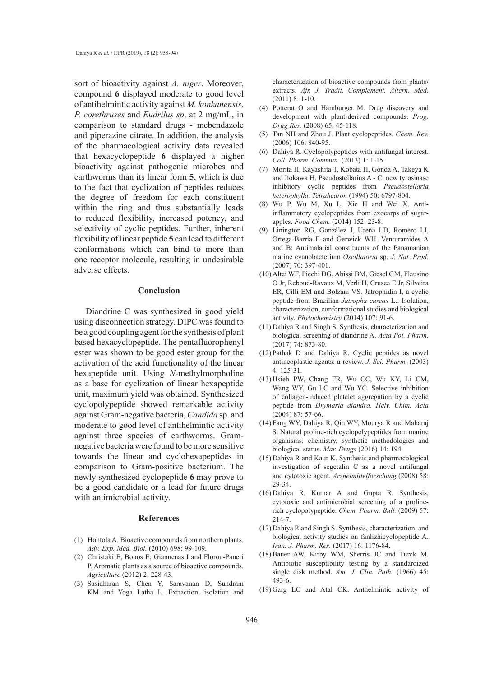sort of bioactivity against *A. niger*. Moreover, compound **6** displayed moderate to good level of antihelmintic activity against *M. konkanensis*, *P. corethruses* and *Eudrilus sp*. at 2 mg/mL, in comparison to standard drugs - mebendazole and piperazine citrate. In addition, the analysis of the pharmacological activity data revealed that hexacyclopeptide **6** displayed a higher bioactivity against pathogenic microbes and earthworms than its linear form **5**, which is due to the fact that cyclization of peptides reduces the degree of freedom for each constituent within the ring and thus substantially leads to reduced flexibility, increased potency, and selectivity of cyclic peptides. Further, inherent flexibility of linear peptide **5** can lead to different conformations which can bind to more than one receptor molecule, resulting in undesirable adverse effects.

#### **Conclusion**

Diandrine C was synthesized in good yield using disconnection strategy. DIPC was found to be a good coupling agent for the synthesis of plant based hexacyclopeptide. The pentafluorophenyl ester was shown to be good ester group for the activation of the acid functionality of the linear hexapeptide unit. Using *N*-methylmorpholine as a base for cyclization of linear hexapeptide unit, maximum yield was obtained. Synthesized cyclopolypeptide showed remarkable activity against Gram-negative bacteria, *Candida* sp. and moderate to good level of antihelmintic activity against three species of earthworms. Gramnegative bacteria were found to be more sensitive towards the linear and cyclohexapeptides in comparison to Gram-positive bacterium. The newly synthesized cyclopeptide **6** may prove to be a good candidate or a lead for future drugs with antimicrobial activity.

#### **References**

- (1) Hohtola A. Bioactive compounds from northern plants. *Adv. Exp. Med. Biol.* (2010) 698: 99-109.
- (2) Christaki E, Bonos E, Giannenas I and Florou-Paneri P. Aromatic plants as a source of bioactive compounds. *Agriculture* (2012) 2: 228-43.
- (3) Sasidharan S, Chen Y, Saravanan D, Sundram KM and Yoga Latha L. Extraction, isolation and

characterization of bioactive compounds from plants› extracts. *Afr. J. Tradit. Complement. Altern. Med.*  (2011) 8: 1-10.

- Potterat O and Hamburger M. Drug discovery and (4) development with plant-derived compounds. *Prog. Drug Res.* (2008) 65: 45-118.
- (5) Tan NH and Zhou J. Plant cyclopeptides. *Chem. Rev.* (2006) 106: 840-95.
- (6) Dahiya R. Cyclopolypeptides with antifungal interest. *Coll. Pharm. Commun.* (2013) 1: 1-15.
- (7) Morita H, Kayashita T, Kobata H, Gonda A, Takeya K and Itokawa H. Pseudostellarins A - C, new tyrosinase inhibitory cyclic peptides from *Pseudostellaria heterophylla*. *Tetrahedron* (1994) 50: 6797-804.
- Wu P, Wu M, Xu L, Xie H and Wei X. Anti-(8) inflammatory cyclopeptides from exocarps of sugarapples. *Food Chem.* (2014) 152: 23-8.
- Linington RG, González J, Ureña LD, Romero LI, (9) Ortega-Barría E and Gerwick WH. Venturamides A and B: Antimalarial constituents of the Panamanian marine cyanobacterium *Oscillatoria* sp. *J. Nat. Prod.* (2007) 70: 397-401.
- (10) Altei WF, Picchi DG, Abissi BM, Giesel GM, Flausino O Jr, Reboud-Ravaux M, Verli H, Crusca E Jr, Silveira ER, Cilli EM and Bolzani VS. Jatrophidin I, a cyclic peptide from Brazilian *Jatropha curcas* L.: Isolation, characterization, conformational studies and biological activity. *Phytochemistry* (2014) 107: 91-6.
- (11) Dahiya R and Singh S. Synthesis, characterization and biological screening of diandrine A. *Acta Pol. Pharm.* (2017) 74: 873-80.
- (12) Pathak D and Dahiya R. Cyclic peptides as novel antineoplastic agents: a review. *J. Sci. Pharm.* (2003) 4: 125-31.
- (13) Hsieh PW, Chang FR, Wu CC, Wu KY, Li CM, Wang WY, Gu LC and Wu YC. Selective inhibition of collagen-induced platelet aggregation by a cyclic peptide from *Drymaria diandra*. *Helv. Chim. Acta* (2004) 87: 57-66.
- Fang WY, Dahiya R, Qin WY, Mourya R and Maharaj (14) S. Natural proline-rich cyclopolypeptides from marine organisms: chemistry, synthetic methodologies and biological status. *Mar. Drugs* (2016) 14: 194.
- (15) Dahiya R and Kaur K. Synthesis and pharmacological investigation of segetalin C as a novel antifungal and cytotoxic agent. *Arzneimittelforschung* (2008) 58: 29-34.
- (16) Dahiya R, Kumar A and Gupta R. Synthesis, cytotoxic and antimicrobial screening of a prolinerich cyclopolypeptide. *Chem. Pharm. Bull.* (2009) 57: 214-7.
- (17) Dahiya R and Singh S. Synthesis, characterization, and biological activity studies on fanlizhicyclopeptide A. *Iran. J. Pharm. Res.* (2017) 16: 1176-84.
- $(18)$  Bauer AW, Kirby WM, Sherris JC and Turck M. Antibiotic susceptibility testing by a standardized single disk method. *Am. J. Clin. Path.* (1966) 45: 493-6.
- (19) Garg LC and Atal CK. Anthelmintic activity of